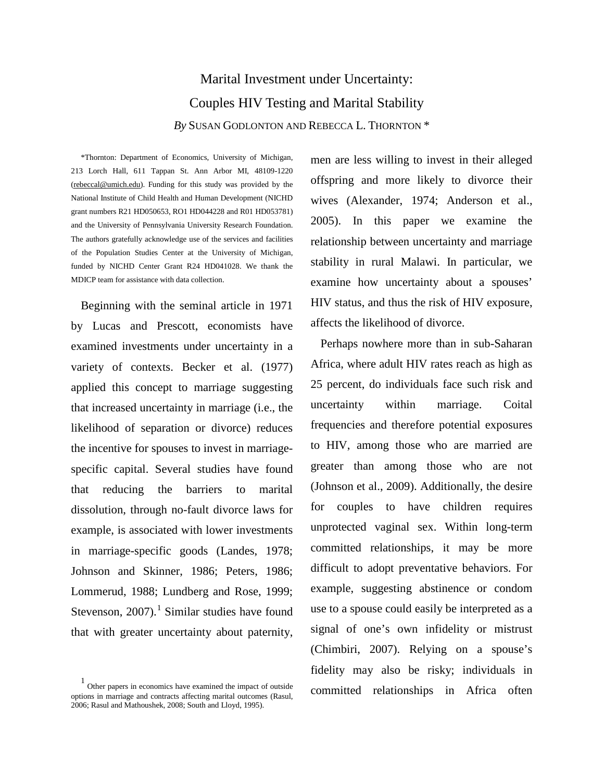# Marital Investment under Uncertainty: Couples HIV Testing and Marital Stability *By* SUSAN GODLONTON AND REBECCA L. THORNTON \*

\*Thornton: Department of Economics, University of Michigan, 213 Lorch Hall, 611 Tappan St. Ann Arbor MI, 48109-1220 [\(rebeccal@umich.edu\)](mailto:rebeccal@umich.edu). Funding for this study was provided by the National Institute of Child Health and Human Development (NICHD grant numbers R21 HD050653, RO1 HD044228 and R01 HD053781) and the University of Pennsylvania University Research Foundation. The authors gratefully acknowledge use of the services and facilities of the Population Studies Center at the University of Michigan, funded by NICHD Center Grant R24 HD041028. We thank the MDICP team for assistance with data collection.

Beginning with the seminal article in 1971 by Lucas and Prescott, economists have examined investments under uncertainty in a variety of contexts. Becker et al. (1977) applied this concept to marriage suggesting that increased uncertainty in marriage (i.e., the likelihood of separation or divorce) reduces the incentive for spouses to invest in marriagespecific capital. Several studies have found that reducing the barriers to marital dissolution, through no-fault divorce laws for example, is associated with lower investments in marriage-specific goods (Landes, 1978; Johnson and Skinner, 1986; Peters, 1986; Lommerud, 1988; Lundberg and Rose, 1999; Stevenson,  $2007$ ).<sup>[1](#page-0-0)</sup> Similar studies have found that with greater uncertainty about paternity,

<span id="page-0-0"></span>1 Other papers in economics have examined the impact of outside options in marriage and contracts affecting marital outcomes (Rasul, 2006; Rasul and Mathoushek, 2008; South and Lloyd, 1995).

men are less willing to invest in their alleged offspring and more likely to divorce their wives (Alexander, 1974; Anderson et al., 2005). In this paper we examine the relationship between uncertainty and marriage stability in rural Malawi. In particular, we examine how uncertainty about a spouses' HIV status, and thus the risk of HIV exposure, affects the likelihood of divorce.

Perhaps nowhere more than in sub-Saharan Africa, where adult HIV rates reach as high as 25 percent, do individuals face such risk and uncertainty within marriage. Coital frequencies and therefore potential exposures to HIV, among those who are married are greater than among those who are not (Johnson et al., 2009). Additionally, the desire for couples to have children requires unprotected vaginal sex. Within long-term committed relationships, it may be more difficult to adopt preventative behaviors. For example, suggesting abstinence or condom use to a spouse could easily be interpreted as a signal of one's own infidelity or mistrust (Chimbiri, 2007). Relying on a spouse's fidelity may also be risky; individuals in committed relationships in Africa often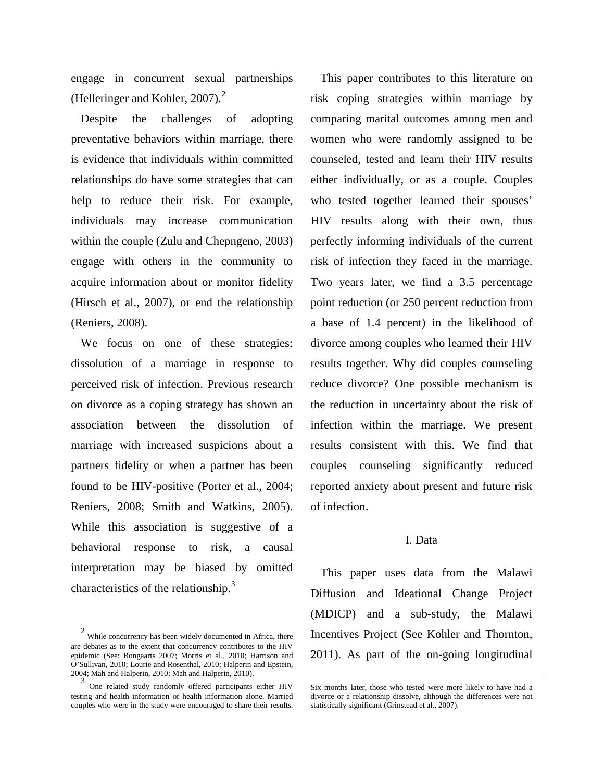engage in concurrent sexual partnerships (Helleringer and Kohler, [2](#page-1-0)007).<sup>2</sup>

Despite the challenges of adopting preventative behaviors within marriage, there is evidence that individuals within committed relationships do have some strategies that can help to reduce their risk. For example, individuals may increase communication within the couple (Zulu and Chepngeno, 2003) engage with others in the community to acquire information about or monitor fidelity (Hirsch et al., 2007), or end the relationship (Reniers, 2008).

We focus on one of these strategies: dissolution of a marriage in response to perceived risk of infection. Previous research on divorce as a coping strategy has shown an association between the dissolution of marriage with increased suspicions about a partners fidelity or when a partner has been found to be HIV-positive (Porter et al., 2004; Reniers, 2008; Smith and Watkins, 2005). While this association is suggestive of a behavioral response to risk, a causal interpretation may be biased by omitted characteristics of the relationship.<sup>[3](#page-1-1)</sup>

This paper contributes to this literature on risk coping strategies within marriage by comparing marital outcomes among men and women who were randomly assigned to be counseled, tested and learn their HIV results either individually, or as a couple. Couples who tested together learned their spouses' HIV results along with their own, thus perfectly informing individuals of the current risk of infection they faced in the marriage. Two years later, we find a 3.5 percentage point reduction (or 250 percent reduction from a base of 1.4 percent) in the likelihood of divorce among couples who learned their HIV results together. Why did couples counseling reduce divorce? One possible mechanism is the reduction in uncertainty about the risk of infection within the marriage. We present results consistent with this. We find that couples counseling significantly reduced reported anxiety about present and future risk of infection.

#### I. Data

This paper uses data from the Malawi Diffusion and Ideational Change Project (MDICP) and a sub-study, the Malawi Incentives Project (See Kohler and Thornton, 2011). As part of the on-going longitudinal

<span id="page-1-0"></span> $2$  While concurrency has been widely documented in Africa, there are debates as to the extent that concurrency contributes to the HIV epidemic (See: Bongaarts 2007; Morris et al., 2010; Harrison and O'Sullivan, 2010; Lourie and Rosenthal, 2010; Halperin and Epstein, 2004; Mah and Halperin, 2010; Mah and Halperin, 2010).

<span id="page-1-1"></span>One related study randomly offered participants either HIV testing and health information or health information alone. Married couples who were in the study were encouraged to share their results.

Six months later, those who tested were more likely to have had a divorce or a relationship dissolve, although the differences were not statistically significant (Grinstead et al., 2007).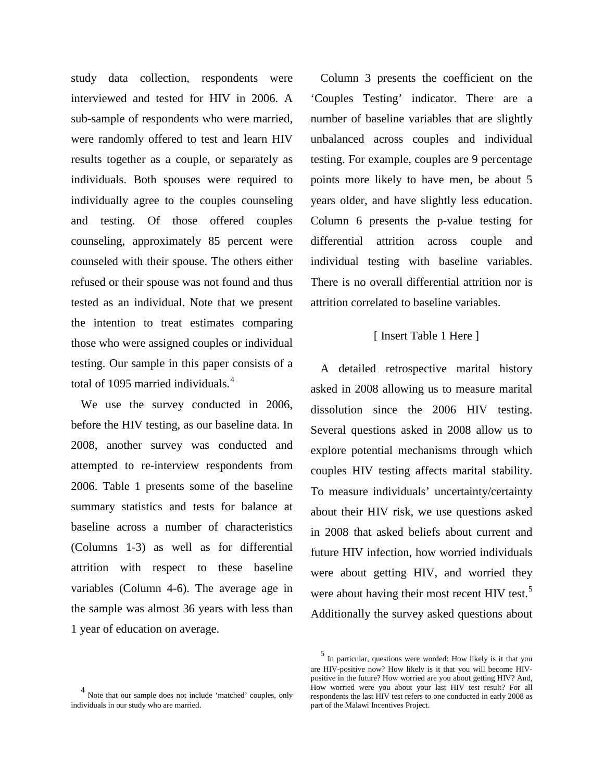study data collection, respondents were interviewed and tested for HIV in 2006. A sub-sample of respondents who were married, were randomly offered to test and learn HIV results together as a couple, or separately as individuals. Both spouses were required to individually agree to the couples counseling and testing. Of those offered couples counseling, approximately 85 percent were counseled with their spouse. The others either refused or their spouse was not found and thus tested as an individual. Note that we present the intention to treat estimates comparing those who were assigned couples or individual testing. Our sample in this paper consists of a total of 1095 married individuals.<sup>[4](#page-2-0)</sup>

We use the survey conducted in 2006, before the HIV testing, as our baseline data. In 2008, another survey was conducted and attempted to re-interview respondents from 2006. Table 1 presents some of the baseline summary statistics and tests for balance at baseline across a number of characteristics (Columns 1-3) as well as for differential attrition with respect to these baseline variables (Column 4-6). The average age in the sample was almost 36 years with less than 1 year of education on average.

<span id="page-2-1"></span><span id="page-2-0"></span>4 Note that our sample does not include 'matched' couples, only individuals in our study who are married.

Column 3 presents the coefficient on the 'Couples Testing' indicator. There are a number of baseline variables that are slightly unbalanced across couples and individual testing. For example, couples are 9 percentage points more likely to have men, be about 5 years older, and have slightly less education. Column 6 presents the p-value testing for differential attrition across couple and individual testing with baseline variables. There is no overall differential attrition nor is attrition correlated to baseline variables.

#### [ Insert Table 1 Here ]

A detailed retrospective marital history asked in 2008 allowing us to measure marital dissolution since the 2006 HIV testing. Several questions asked in 2008 allow us to explore potential mechanisms through which couples HIV testing affects marital stability. To measure individuals' uncertainty/certainty about their HIV risk, we use questions asked in 2008 that asked beliefs about current and future HIV infection, how worried individuals were about getting HIV, and worried they were about having their most recent HIV test.<sup>[5](#page-2-1)</sup> Additionally the survey asked questions about

<sup>5</sup> In particular, questions were worded: How likely is it that you are HIV-positive now? How likely is it that you will become HIVpositive in the future? How worried are you about getting HIV? And, How worried were you about your last HIV test result? For all respondents the last HIV test refers to one conducted in early 2008 as part of the Malawi Incentives Project.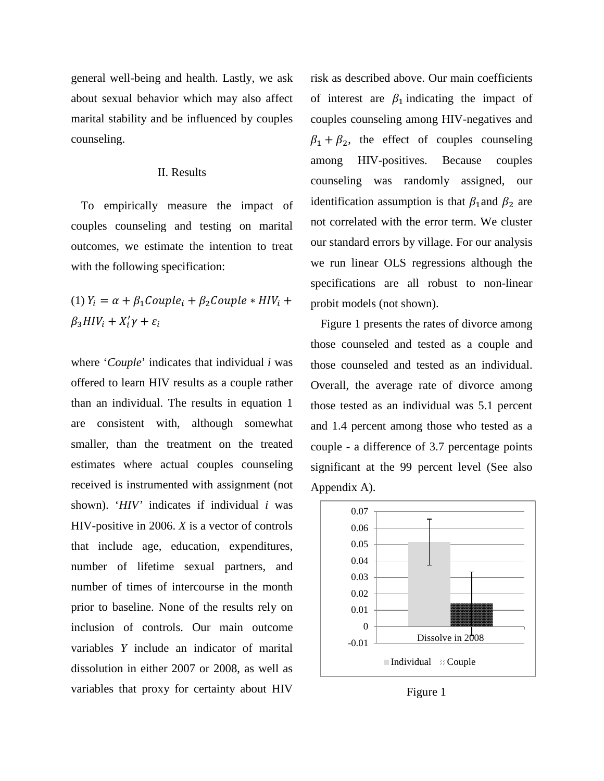general well-being and health. Lastly, we ask about sexual behavior which may also affect marital stability and be influenced by couples counseling.

#### II. Results

To empirically measure the impact of couples counseling and testing on marital outcomes, we estimate the intention to treat with the following specification:

(1) 
$$
Y_i = \alpha + \beta_1 \text{Couple}_i + \beta_2 \text{Couple} * \text{HIV}_i + \beta_3 \text{HIV}_i + X_i' \gamma + \varepsilon_i
$$

where '*Couple*' indicates that individual *i* was offered to learn HIV results as a couple rather than an individual. The results in equation 1 are consistent with, although somewhat smaller, than the treatment on the treated estimates where actual couples counseling received is instrumented with assignment (not shown). '*HIV'* indicates if individual *i* was HIV-positive in 2006. *X* is a vector of controls that include age, education, expenditures, number of lifetime sexual partners, and number of times of intercourse in the month prior to baseline. None of the results rely on inclusion of controls. Our main outcome variables *Y* include an indicator of marital dissolution in either 2007 or 2008, as well as variables that proxy for certainty about HIV

risk as described above. Our main coefficients of interest are  $\beta_1$  indicating the impact of couples counseling among HIV-negatives and  $\beta_1 + \beta_2$ , the effect of couples counseling among HIV-positives. Because couples counseling was randomly assigned, our identification assumption is that  $\beta_1$  and  $\beta_2$  are not correlated with the error term. We cluster our standard errors by village. For our analysis we run linear OLS regressions although the specifications are all robust to non-linear probit models (not shown).

Figure 1 presents the rates of divorce among those counseled and tested as a couple and those counseled and tested as an individual. Overall, the average rate of divorce among those tested as an individual was 5.1 percent and 1.4 percent among those who tested as a couple - a difference of 3.7 percentage points significant at the 99 percent level (See also Appendix A).



Figure 1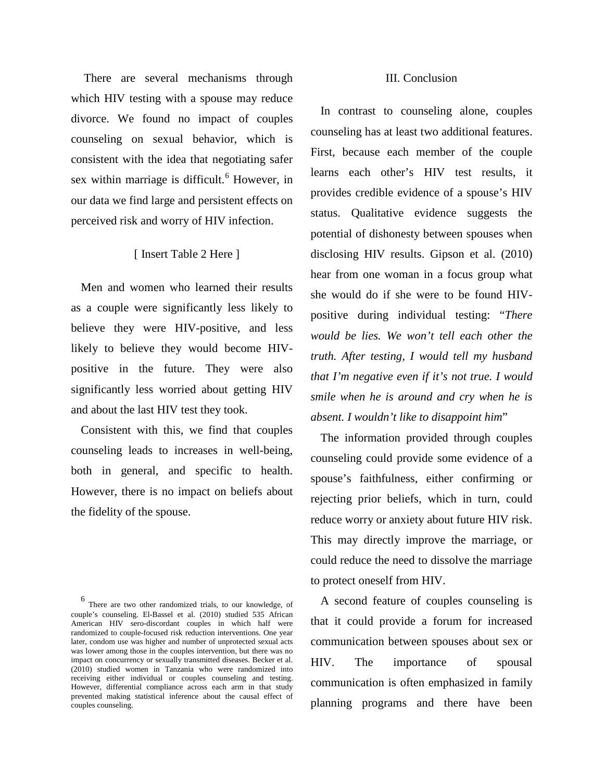There are several mechanisms through which HIV testing with a spouse may reduce divorce. We found no impact of couples counseling on sexual behavior, which is consistent with the idea that negotiating safer sex within marriage is difficult.<sup>[6](#page-4-0)</sup> However, in our data we find large and persistent effects on perceived risk and worry of HIV infection.

### [ Insert Table 2 Here ]

Men and women who learned their results as a couple were significantly less likely to believe they were HIV-positive, and less likely to believe they would become HIVpositive in the future. They were also significantly less worried about getting HIV and about the last HIV test they took.

Consistent with this, we find that couples counseling leads to increases in well-being, both in general, and specific to health. However, there is no impact on beliefs about the fidelity of the spouse.

#### III. Conclusion

In contrast to counseling alone, couples counseling has at least two additional features. First, because each member of the couple learns each other's HIV test results, it provides credible evidence of a spouse's HIV status. Qualitative evidence suggests the potential of dishonesty between spouses when disclosing HIV results. Gipson et al. (2010) hear from one woman in a focus group what she would do if she were to be found HIVpositive during individual testing: "*There would be lies. We won't tell each other the truth. After testing, I would tell my husband that I'm negative even if it's not true. I would smile when he is around and cry when he is absent. I wouldn't like to disappoint him*"

The information provided through couples counseling could provide some evidence of a spouse's faithfulness, either confirming or rejecting prior beliefs, which in turn, could reduce worry or anxiety about future HIV risk. This may directly improve the marriage, or could reduce the need to dissolve the marriage to protect oneself from HIV.

A second feature of couples counseling is that it could provide a forum for increased communication between spouses about sex or HIV. The importance of spousal communication is often emphasized in family planning programs and there have been

<span id="page-4-0"></span><sup>6</sup> There are two other randomized trials, to our knowledge, of couple's counseling. El-Bassel et al. (2010) studied 535 African American HIV sero-discordant couples in which half were randomized to couple-focused risk reduction interventions. One year later, condom use was higher and number of unprotected sexual acts was lower among those in the couples intervention, but there was no impact on concurrency or sexually transmitted diseases. Becker et al. (2010) studied women in Tanzania who were randomized into receiving either individual or couples counseling and testing. However, differential compliance across each arm in that study prevented making statistical inference about the causal effect of couples counseling.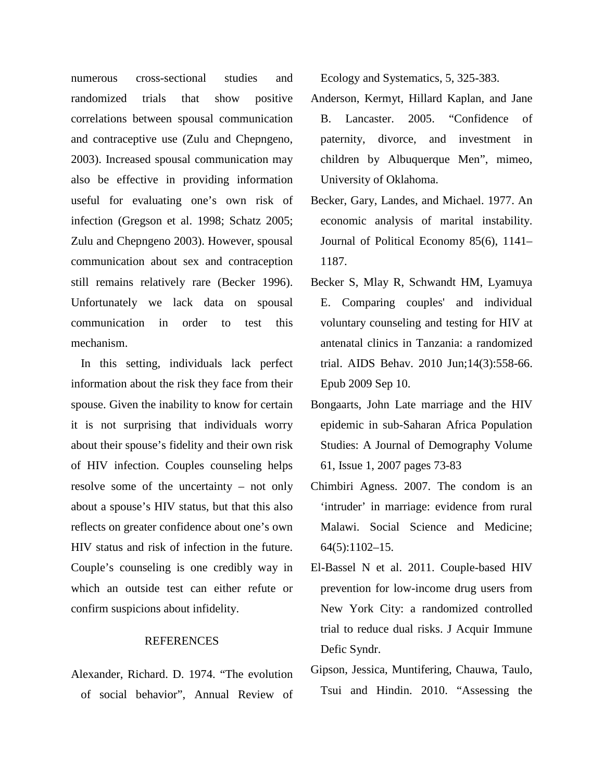numerous cross-sectional studies and randomized trials that show positive correlations between spousal communication and contraceptive use (Zulu and Chepngeno, 2003). Increased spousal communication may also be effective in providing information useful for evaluating one's own risk of infection (Gregson et al. 1998; Schatz 2005; Zulu and Chepngeno 2003). However, spousal communication about sex and contraception still remains relatively rare (Becker 1996). Unfortunately we lack data on spousal communication in order to test this mechanism.

In this setting, individuals lack perfect information about the risk they face from their spouse. Given the inability to know for certain it is not surprising that individuals worry about their spouse's fidelity and their own risk of HIV infection. Couples counseling helps resolve some of the uncertainty – not only about a spouse's HIV status, but that this also reflects on greater confidence about one's own HIV status and risk of infection in the future. Couple's counseling is one credibly way in which an outside test can either refute or confirm suspicions about infidelity.

## REFERENCES

Alexander, Richard. D. 1974. "The evolution of social behavior", Annual Review of Ecology and Systematics, 5, 325-383.

- Anderson, Kermyt, Hillard Kaplan, and Jane B. Lancaster. 2005. "Confidence of paternity, divorce, and investment in children by Albuquerque Men", mimeo, University of Oklahoma.
- Becker, Gary, Landes, and Michael. 1977. An economic analysis of marital instability. Journal of Political Economy 85(6), 1141– 1187.
- Becker S, Mlay R, Schwandt HM, Lyamuya E. Comparing couples' and individual voluntary counseling and testing for HIV at antenatal clinics in Tanzania: a randomized trial. AIDS Behav. 2010 Jun;14(3):558-66. Epub 2009 Sep 10.
- Bongaarts, John Late marriage and the HIV epidemic in sub-Saharan Africa Population Studies: A Journal of Demography Volume 61, Issue 1, 2007 pages 73-83
- Chimbiri Agness. 2007. The condom is an 'intruder' in marriage: evidence from rural Malawi. Social Science and Medicine; 64(5):1102–15.
- El-Bassel N et al. 2011. Couple-based HIV prevention for low-income drug users from New York City: a randomized controlled trial to reduce dual risks. J Acquir Immune Defic Syndr.
- Gipson, Jessica, Muntifering, Chauwa, Taulo, Tsui and Hindin. 2010. "Assessing the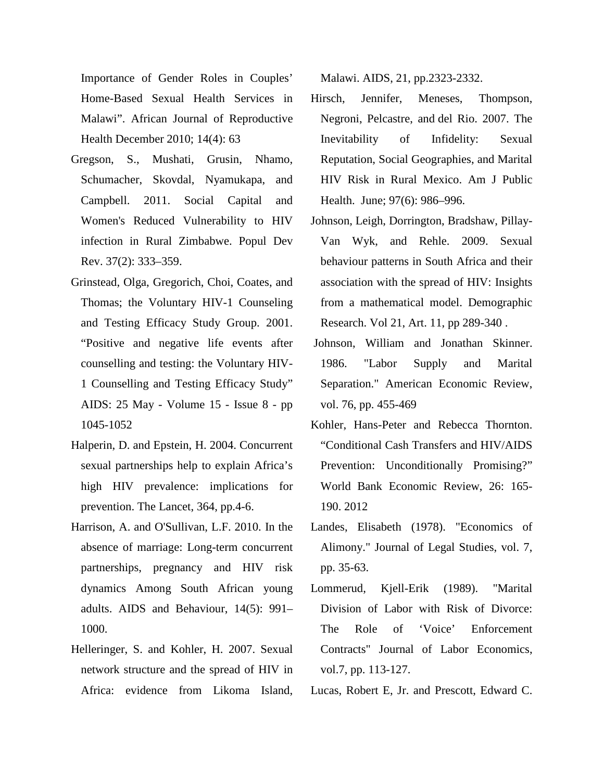Importance of Gender Roles in Couples' Home-Based Sexual Health Services in Malawi". African Journal of Reproductive Health December 2010; 14(4): 63

- Gregson, S., Mushati, Grusin, Nhamo, Schumacher, Skovdal, Nyamukapa, and Campbell. 2011. Social Capital and Women's Reduced Vulnerability to HIV infection in Rural Zimbabwe. Popul Dev Rev. 37(2): 333–359.
- Grinstead, Olga, Gregorich, Choi, Coates, and Thomas; the Voluntary HIV-1 Counseling and Testing Efficacy Study Group. 2001. "Positive and negative life events after counselling and testing: the Voluntary HIV-1 Counselling and Testing Efficacy Study" AIDS: 25 May - Volume 15 - Issue 8 - pp 1045-1052
- Halperin, D. and Epstein, H. 2004. Concurrent sexual partnerships help to explain Africa's high HIV prevalence: implications for prevention. The Lancet, 364, pp.4-6.
- Harrison, A. and O'Sullivan, L.F. 2010. In the absence of marriage: Long-term concurrent partnerships, pregnancy and HIV risk dynamics Among South African young adults. AIDS and Behaviour, 14(5): 991– 1000.
- Helleringer, S. and Kohler, H. 2007. Sexual network structure and the spread of HIV in Africa: evidence from Likoma Island,

Malawi. AIDS, 21, pp.2323-2332.

- [Hirsch,](http://www.ncbi.nlm.nih.gov/sites/entrez?cmd=search&db=PubMed&term=%20Hirsch%2BJS%5bauth%5d) Jennifer, Meneses, Thompson, [Negroni,](http://www.ncbi.nlm.nih.gov/sites/entrez?cmd=search&db=PubMed&term=%20Negroni%2BM%5bauth%5d) Pelcastre, and [del Rio.](http://www.ncbi.nlm.nih.gov/sites/entrez?cmd=search&db=PubMed&term=%20del%20Rio%2BC%5bauth%5d) 2007. The Inevitability of Infidelity: Sexual Reputation, Social Geographies, and Marital HIV Risk in Rural Mexico. Am J Public Health. June; 97(6): 986–996.
- Johnson, Leigh, Dorrington, Bradshaw, Pillay-Van Wyk, and Rehle. 2009. Sexual behaviour patterns in South Africa and their association with the spread of HIV: Insights from a mathematical model. Demographic Research. Vol 21, Art. 11, pp 289-340 .
- Johnson, William and Jonathan Skinner. 1986. "Labor Supply and Marital Separation." American Economic Review, vol. 76, pp. 455-469
- Kohler, Hans-Peter and Rebecca Thornton. "Conditional Cash Transfers and HIV/AIDS Prevention: Unconditionally Promising?" World Bank Economic Review, 26: 165- 190. 2012
- Landes, Elisabeth (1978). "Economics of Alimony." Journal of Legal Studies, vol. 7, pp. 35-63.
- Lommerud, Kjell-Erik (1989). "Marital Division of Labor with Risk of Divorce: The Role of 'Voice' Enforcement Contracts" Journal of Labor Economics, vol.7, pp. 113-127.
- Lucas, Robert E, Jr. and Prescott, Edward C.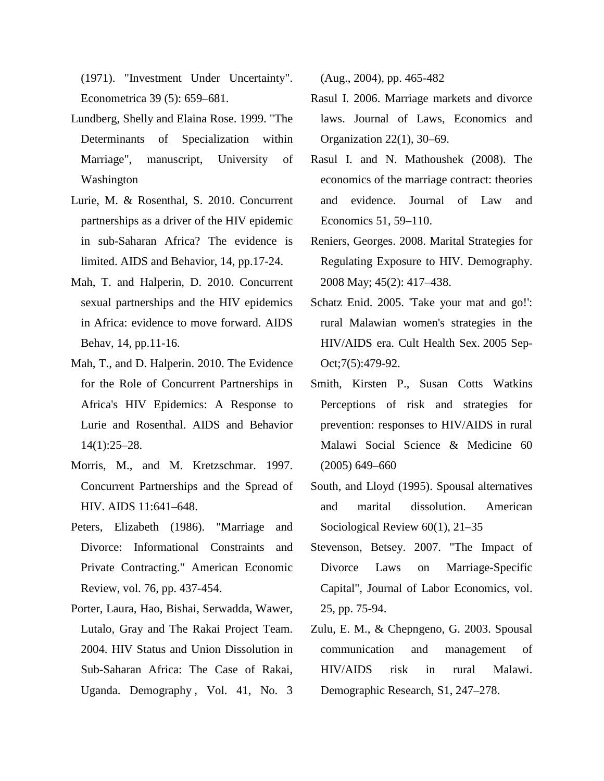(1971). "Investment Under Uncertainty". Econometrica 39 (5): 659–681.

- Lundberg, Shelly and Elaina Rose. 1999. "The Determinants of Specialization within Marriage", manuscript, University of Washington
- Lurie, M. & Rosenthal, S. 2010. Concurrent partnerships as a driver of the HIV epidemic in sub-Saharan Africa? The evidence is limited. AIDS and Behavior, 14, pp.17-24.
- Mah, T. and Halperin, D. 2010. Concurrent sexual partnerships and the HIV epidemics in Africa: evidence to move forward. AIDS Behav, 14, pp.11-16.
- Mah, T., and D. Halperin. 2010. The Evidence for the Role of Concurrent Partnerships in Africa's HIV Epidemics: A Response to Lurie and Rosenthal. AIDS and Behavior 14(1):25–28.
- Morris, M., and M. Kretzschmar. 1997. Concurrent Partnerships and the Spread of HIV. AIDS 11:641–648.
- Peters, Elizabeth (1986). "Marriage and Divorce: Informational Constraints and Private Contracting." American Economic Review, vol. 76, pp. 437-454.
- Porter, Laura, Hao, Bishai, Serwadda, Wawer, Lutalo, Gray and The Rakai Project Team. 2004. HIV Status and Union Dissolution in Sub-Saharan Africa: The Case of Rakai, Uganda. Demography , Vol. 41, No. 3

(Aug., 2004), pp. 465-482

- Rasul I. 2006. Marriage markets and divorce laws. Journal of Laws, Economics and Organization 22(1), 30–69.
- Rasul I. and N. Mathoushek (2008). The economics of the marriage contract: theories and evidence. Journal of Law and Economics 51, 59–110.
- Reniers, Georges. 2008. Marital Strategies for Regulating Exposure to HIV. Demography. 2008 May; 45(2): 417–438.
- [Schatz En](http://www.ncbi.nlm.nih.gov/pubmed?term=Schatz%20E%5BAuthor%5D&cauthor=true&cauthor_uid=16864217)id. 2005. 'Take your mat and go!': rural Malawian women's strategies in the HIV/AIDS era. [Cult Health Sex.](http://www.ncbi.nlm.nih.gov/pubmed/16864217) 2005 Sep-Oct;7(5):479-92.
- Smith, Kirsten P., Susan Cotts Watkins Perceptions of risk and strategies for prevention: responses to HIV/AIDS in rural Malawi Social Science & Medicine 60 (2005) 649–660
- South, and Lloyd (1995). Spousal alternatives and marital dissolution. American Sociological Review 60(1), 21–35
- Stevenson, Betsey. 2007. "The Impact of Divorce Laws on Marriage-Specific Capital", Journal of Labor Economics, vol. 25, pp. 75-94.
- Zulu, E. M., & Chepngeno, G. 2003. Spousal communication and management of HIV/AIDS risk in rural Malawi. Demographic Research, S1, 247–278.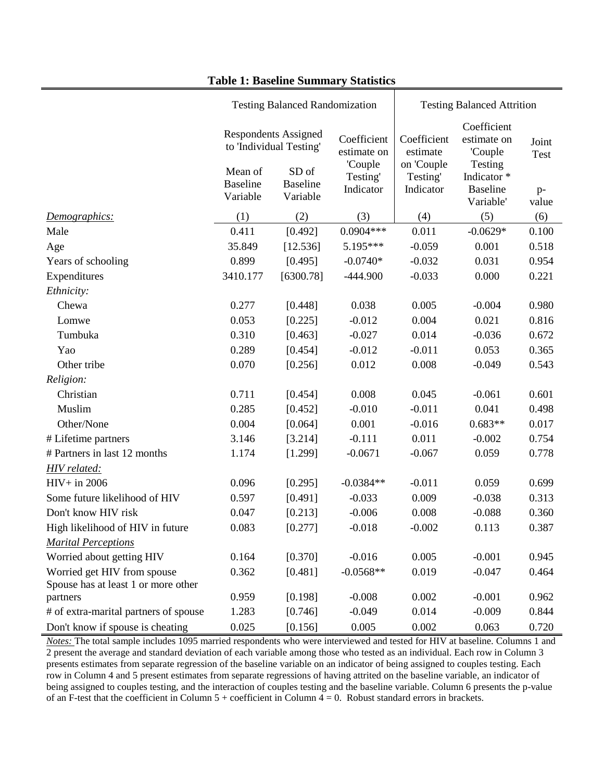|                                                                    | <b>Testing Balanced Randomization</b> |                                                                 |                                       | <b>Testing Balanced Attrition</b>                              |                                                                                                 |                      |
|--------------------------------------------------------------------|---------------------------------------|-----------------------------------------------------------------|---------------------------------------|----------------------------------------------------------------|-------------------------------------------------------------------------------------------------|----------------------|
|                                                                    | Mean of                               | <b>Respondents Assigned</b><br>to 'Individual Testing'<br>SD of | Coefficient<br>estimate on<br>'Couple | Coefficient<br>estimate<br>on 'Couple<br>Testing'<br>Indicator | Coefficient<br>estimate on<br>'Couple<br>Testing<br>Indicator *<br><b>Baseline</b><br>Variable' | Joint<br><b>Test</b> |
|                                                                    | <b>Baseline</b><br>Variable           | <b>Baseline</b><br>Variable                                     | Testing'<br>Indicator                 |                                                                |                                                                                                 | $p-$<br>value        |
| Demographics:                                                      | (1)                                   | (2)                                                             | (3)                                   | (4)                                                            | (5)                                                                                             | (6)                  |
| Male                                                               | 0.411                                 | [0.492]                                                         | $0.0904***$                           | 0.011                                                          | $-0.0629*$                                                                                      | 0.100                |
| Age                                                                | 35.849                                | [12.536]                                                        | 5.195***                              | $-0.059$                                                       | 0.001                                                                                           | 0.518                |
| Years of schooling                                                 | 0.899                                 | [0.495]                                                         | $-0.0740*$                            | $-0.032$                                                       | 0.031                                                                                           | 0.954                |
| Expenditures                                                       | 3410.177                              | [6300.78]                                                       | $-444.900$                            | $-0.033$                                                       | 0.000                                                                                           | 0.221                |
| Ethnicity:                                                         |                                       |                                                                 |                                       |                                                                |                                                                                                 |                      |
| Chewa                                                              | 0.277                                 | [0.448]                                                         | 0.038                                 | 0.005                                                          | $-0.004$                                                                                        | 0.980                |
| Lomwe                                                              | 0.053                                 | [0.225]                                                         | $-0.012$                              | 0.004                                                          | 0.021                                                                                           | 0.816                |
| Tumbuka                                                            | 0.310                                 | [0.463]                                                         | $-0.027$                              | 0.014                                                          | $-0.036$                                                                                        | 0.672                |
| Yao                                                                | 0.289                                 | [0.454]                                                         | $-0.012$                              | $-0.011$                                                       | 0.053                                                                                           | 0.365                |
| Other tribe                                                        | 0.070                                 | [0.256]                                                         | 0.012                                 | 0.008                                                          | $-0.049$                                                                                        | 0.543                |
| Religion:                                                          |                                       |                                                                 |                                       |                                                                |                                                                                                 |                      |
| Christian                                                          | 0.711                                 | [0.454]                                                         | 0.008                                 | 0.045                                                          | $-0.061$                                                                                        | 0.601                |
| Muslim                                                             | 0.285                                 | [0.452]                                                         | $-0.010$                              | $-0.011$                                                       | 0.041                                                                                           | 0.498                |
| Other/None                                                         | 0.004                                 | [0.064]                                                         | 0.001                                 | $-0.016$                                                       | $0.683**$                                                                                       | 0.017                |
| # Lifetime partners                                                | 3.146                                 | [3.214]                                                         | $-0.111$                              | 0.011                                                          | $-0.002$                                                                                        | 0.754                |
| # Partners in last 12 months                                       | 1.174                                 | [1.299]                                                         | $-0.0671$                             | $-0.067$                                                       | 0.059                                                                                           | 0.778                |
| <b>HIV</b> related:                                                |                                       |                                                                 |                                       |                                                                |                                                                                                 |                      |
| $HIV+$ in 2006                                                     | 0.096                                 | [0.295]                                                         | $-0.0384**$                           | $-0.011$                                                       | 0.059                                                                                           | 0.699                |
| Some future likelihood of HIV                                      | 0.597                                 | [0.491]                                                         | $-0.033$                              | 0.009                                                          | $-0.038$                                                                                        | 0.313                |
| Don't know HIV risk                                                | 0.047                                 | [0.213]                                                         | $-0.006$                              | 0.008                                                          | $-0.088$                                                                                        | 0.360                |
| High likelihood of HIV in future                                   | 0.083                                 | [0.277]                                                         | $-0.018$                              | $-0.002$                                                       | 0.113                                                                                           | 0.387                |
| <b>Marital Perceptions</b>                                         |                                       |                                                                 |                                       |                                                                |                                                                                                 |                      |
| Worried about getting HIV                                          | 0.164                                 | [0.370]                                                         | $-0.016$                              | 0.005                                                          | $-0.001$                                                                                        | 0.945                |
| Worried get HIV from spouse<br>Spouse has at least 1 or more other | 0.362                                 | [0.481]                                                         | $-0.0568**$                           | 0.019                                                          | $-0.047$                                                                                        | 0.464                |
| partners                                                           | 0.959                                 | [0.198]                                                         | $-0.008$                              | 0.002                                                          | $-0.001$                                                                                        | 0.962                |
| # of extra-marital partners of spouse                              | 1.283                                 | [0.746]                                                         | $-0.049$                              | 0.014                                                          | $-0.009$                                                                                        | 0.844                |
| Don't know if spouse is cheating                                   | 0.025                                 | [0.156]                                                         | 0.005                                 | 0.002                                                          | 0.063                                                                                           | 0.720                |

## **Table 1: Baseline Summary Statistics**

*Notes:* The total sample includes 1095 married respondents who were interviewed and tested for HIV at baseline. Columns 1 and 2 present the average and standard deviation of each variable among those who tested as an individual. Each row in Column 3 presents estimates from separate regression of the baseline variable on an indicator of being assigned to couples testing. Each row in Column 4 and 5 present estimates from separate regressions of having attrited on the baseline variable, an indicator of being assigned to couples testing, and the interaction of couples testing and the baseline variable. Column 6 presents the p-value of an F-test that the coefficient in Column  $5 +$  coefficient in Column  $4 = 0$ . Robust standard errors in brackets.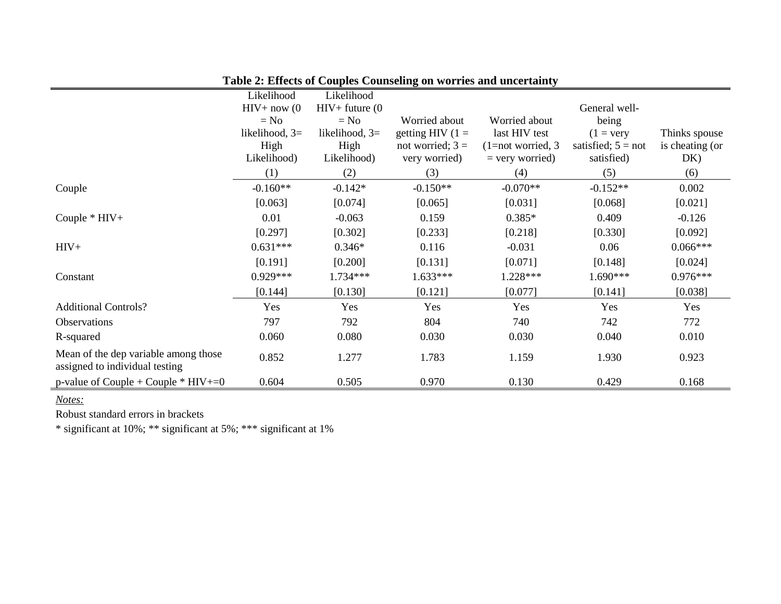|                                                                        | Likelihood       | Likelihood        |                    |                     |                      |                 |
|------------------------------------------------------------------------|------------------|-------------------|--------------------|---------------------|----------------------|-----------------|
|                                                                        | $HIV+now (0)$    | $HIV+$ future (0) |                    |                     | General well-        |                 |
|                                                                        | $= No$           | $= No$            | Worried about      | Worried about       | being                |                 |
|                                                                        | likelihood, $3=$ | likelihood, $3=$  | getting HIV $(1 =$ | last HIV test       | $(1 = \text{very})$  | Thinks spouse   |
|                                                                        | High             | High              | not worried; $3 =$ | $(1=not$ worried, 3 | satisfied; $5 = not$ | is cheating (or |
|                                                                        | Likelihood)      | Likelihood)       | very worried)      | $=$ very worried)   | satisfied)           | DK)             |
|                                                                        | (1)              | (2)               | (3)                | (4)                 | (5)                  | (6)             |
| Couple                                                                 | $-0.160**$       | $-0.142*$         | $-0.150**$         | $-0.070**$          | $-0.152**$           | 0.002           |
|                                                                        | [0.063]          | [0.074]           | [0.065]            | [0.031]             | [0.068]              | [0.021]         |
| Couple $*$ HIV+                                                        | 0.01             | $-0.063$          | 0.159              | $0.385*$            | 0.409                | $-0.126$        |
|                                                                        | [0.297]          | [0.302]           | [0.233]            | [0.218]             | [0.330]              | [0.092]         |
| $HIV+$                                                                 | $0.631***$       | $0.346*$          | 0.116              | $-0.031$            | 0.06                 | $0.066***$      |
|                                                                        | [0.191]          | [0.200]           | [0.131]            | [0.071]             | [0.148]              | [0.024]         |
| Constant                                                               | $0.929***$       | $1.734***$        | 1.633***           | 1.228***            | $1.690***$           | $0.976***$      |
|                                                                        | [0.144]          | [0.130]           | [0.121]            | [0.077]             | [0.141]              | [0.038]         |
| <b>Additional Controls?</b>                                            | Yes              | Yes               | Yes                | Yes                 | Yes                  | Yes             |
| Observations                                                           | 797              | 792               | 804                | 740                 | 742                  | 772             |
| R-squared                                                              | 0.060            | 0.080             | 0.030              | 0.030               | 0.040                | 0.010           |
| Mean of the dep variable among those<br>assigned to individual testing | 0.852            | 1.277             | 1.783              | 1.159               | 1.930                | 0.923           |
| p-value of Couple + Couple $*$ HIV+=0                                  | 0.604            | 0.505             | 0.970              | 0.130               | 0.429                | 0.168           |

**Table 2: Effects of Couples Counseling on worries and uncertainty**

*Notes:*

Robust standard errors in brackets

\* significant at 10%; \*\* significant at 5%; \*\*\* significant at 1%